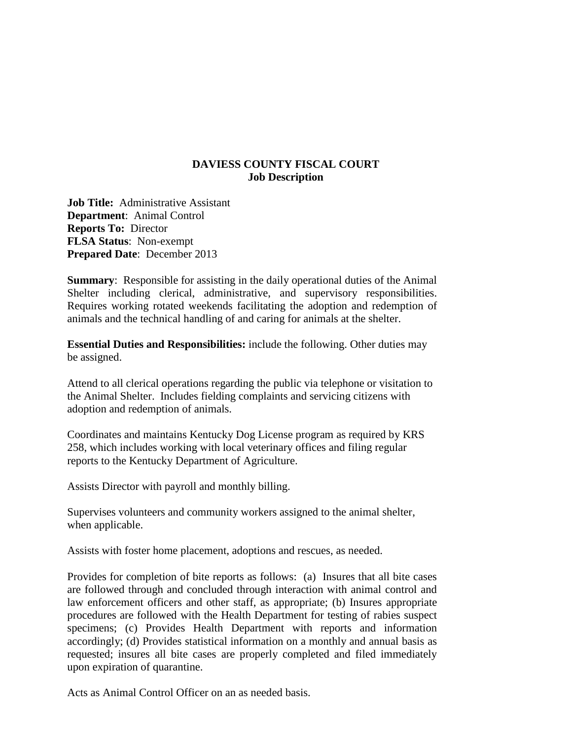## **DAVIESS COUNTY FISCAL COURT Job Description**

**Job Title:** Administrative Assistant **Department**: Animal Control **Reports To:** Director **FLSA Status**: Non-exempt **Prepared Date**: December 2013

**Summary**: Responsible for assisting in the daily operational duties of the Animal Shelter including clerical, administrative, and supervisory responsibilities. Requires working rotated weekends facilitating the adoption and redemption of animals and the technical handling of and caring for animals at the shelter.

**Essential Duties and Responsibilities:** include the following. Other duties may be assigned.

Attend to all clerical operations regarding the public via telephone or visitation to the Animal Shelter. Includes fielding complaints and servicing citizens with adoption and redemption of animals.

Coordinates and maintains Kentucky Dog License program as required by KRS 258, which includes working with local veterinary offices and filing regular reports to the Kentucky Department of Agriculture.

Assists Director with payroll and monthly billing.

Supervises volunteers and community workers assigned to the animal shelter, when applicable.

Assists with foster home placement, adoptions and rescues, as needed.

Provides for completion of bite reports as follows: (a) Insures that all bite cases are followed through and concluded through interaction with animal control and law enforcement officers and other staff, as appropriate; (b) Insures appropriate procedures are followed with the Health Department for testing of rabies suspect specimens; (c) Provides Health Department with reports and information accordingly; (d) Provides statistical information on a monthly and annual basis as requested; insures all bite cases are properly completed and filed immediately upon expiration of quarantine.

Acts as Animal Control Officer on an as needed basis.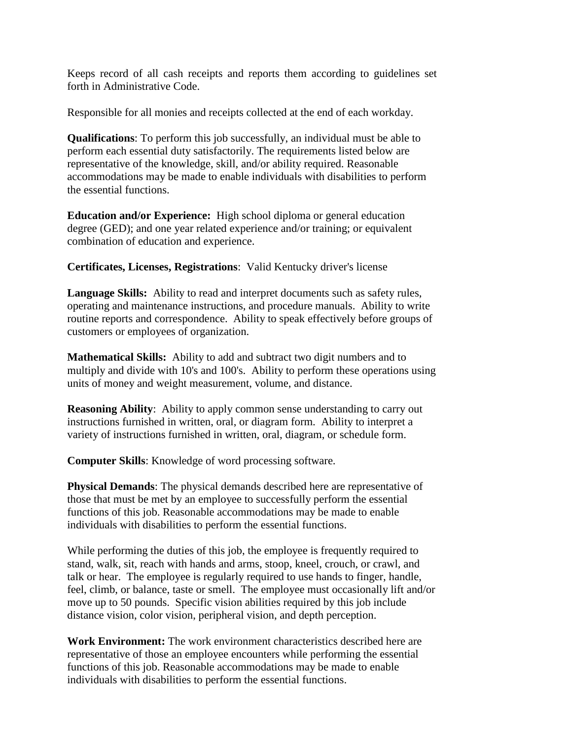Keeps record of all cash receipts and reports them according to guidelines set forth in Administrative Code.

Responsible for all monies and receipts collected at the end of each workday.

**Qualifications**: To perform this job successfully, an individual must be able to perform each essential duty satisfactorily. The requirements listed below are representative of the knowledge, skill, and/or ability required. Reasonable accommodations may be made to enable individuals with disabilities to perform the essential functions.

**Education and/or Experience:** High school diploma or general education degree (GED); and one year related experience and/or training; or equivalent combination of education and experience.

**Certificates, Licenses, Registrations**: Valid Kentucky driver's license

**Language Skills:** Ability to read and interpret documents such as safety rules, operating and maintenance instructions, and procedure manuals. Ability to write routine reports and correspondence. Ability to speak effectively before groups of customers or employees of organization.

**Mathematical Skills:** Ability to add and subtract two digit numbers and to multiply and divide with 10's and 100's. Ability to perform these operations using units of money and weight measurement, volume, and distance.

**Reasoning Ability:** Ability to apply common sense understanding to carry out instructions furnished in written, oral, or diagram form. Ability to interpret a variety of instructions furnished in written, oral, diagram, or schedule form.

**Computer Skills**: Knowledge of word processing software.

**Physical Demands**: The physical demands described here are representative of those that must be met by an employee to successfully perform the essential functions of this job. Reasonable accommodations may be made to enable individuals with disabilities to perform the essential functions.

While performing the duties of this job, the employee is frequently required to stand, walk, sit, reach with hands and arms, stoop, kneel, crouch, or crawl, and talk or hear. The employee is regularly required to use hands to finger, handle, feel, climb, or balance, taste or smell. The employee must occasionally lift and/or move up to 50 pounds. Specific vision abilities required by this job include distance vision, color vision, peripheral vision, and depth perception.

**Work Environment:** The work environment characteristics described here are representative of those an employee encounters while performing the essential functions of this job. Reasonable accommodations may be made to enable individuals with disabilities to perform the essential functions.